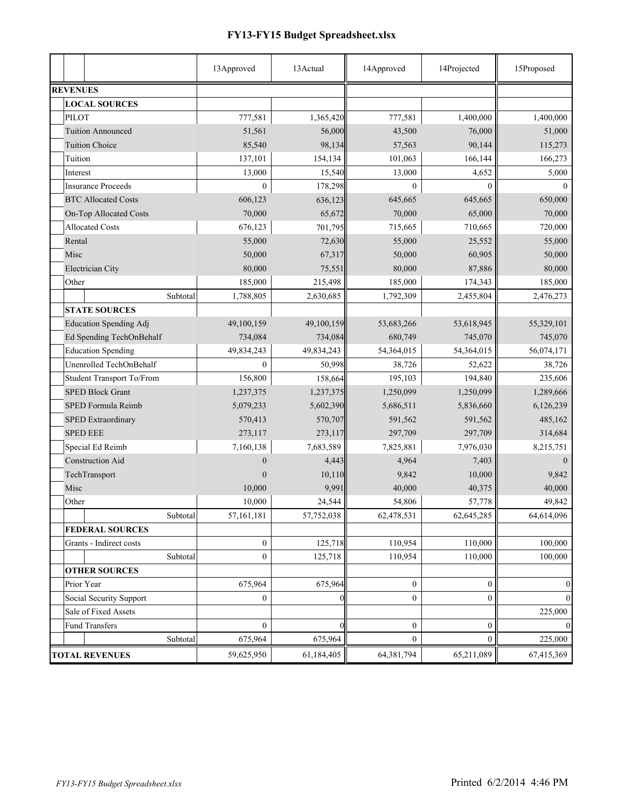## **FY13-FY15 Budget Spreadsheet.xlsx**

|                               | 13Approved       | 13 Actual  | 14Approved       | 14Projected      | 15Proposed       |
|-------------------------------|------------------|------------|------------------|------------------|------------------|
| <b>REVENUES</b>               |                  |            |                  |                  |                  |
| <b>LOCAL SOURCES</b>          |                  |            |                  |                  |                  |
| <b>PILOT</b>                  | 777,581          | 1,365,420  | 777,581          | 1,400,000        | 1,400,000        |
| <b>Tuition Announced</b>      | 51,561           | 56,000     | 43,500           | 76,000           | 51,000           |
| <b>Tuition Choice</b>         | 85,540           | 98,134     | 57,563           | 90,144           | 115,273          |
| Tuition                       | 137,101          | 154,134    | 101,063          | 166,144          | 166,273          |
| Interest                      | 13,000           | 15,540     | 13,000           | 4,652            | 5,000            |
| <b>Insurance Proceeds</b>     | $\theta$         | 178,298    | $\theta$         | $\Omega$         | $\Omega$         |
| <b>BTC Allocated Costs</b>    | 606,123          | 636,123    | 645,665          | 645,665          | 650,000          |
| On-Top Allocated Costs        | 70,000           | 65,672     | 70,000           | 65,000           | 70,000           |
| <b>Allocated Costs</b>        | 676,123          | 701,795    | 715,665          | 710,665          | 720,000          |
| Rental                        | 55,000           | 72,630     | 55,000           | 25,552           | 55,000           |
| Misc                          | 50,000           | 67,317     | 50,000           | 60,905           | 50,000           |
| Electrician City              | 80,000           | 75,551     | 80,000           | 87,886           | 80,000           |
| Other                         | 185,000          | 215,498    | 185,000          | 174,343          | 185,000          |
| Subtotal                      | 1,788,805        | 2,630,685  | 1,792,309        | 2,455,804        | 2,476,273        |
| <b>STATE SOURCES</b>          |                  |            |                  |                  |                  |
| <b>Education Spending Adj</b> | 49,100,159       | 49,100,159 | 53,683,266       | 53,618,945       | 55,329,101       |
| Ed Spending TechOnBehalf      | 734,084          | 734,084    | 680,749          | 745,070          | 745,070          |
| <b>Education Spending</b>     | 49,834,243       | 49,834,243 | 54,364,015       | 54,364,015       | 56,074,171       |
| Unenrolled TechOnBehalf       | $\theta$         | 50,998     | 38,726           | 52,622           | 38,726           |
| Student Transport To/From     | 156,800          | 158,664    | 195,103          | 194,840          | 235,606          |
| <b>SPED Block Grant</b>       | 1,237,375        | 1,237,375  | 1,250,099        | 1,250,099        | 1,289,666        |
| SPED Formula Reimb            | 5,079,233        | 5,602,390  | 5,686,511        | 5,836,660        | 6,126,239        |
| SPED Extraordinary            | 570,413          | 570,707    | 591,562          | 591,562          | 485,162          |
| <b>SPED EEE</b>               | 273,117          | 273,117    | 297,709          | 297,709          | 314,684          |
| Special Ed Reimb              | 7,160,138        | 7,683,589  | 7,825,881        | 7,976,030        | 8,215,751        |
| <b>Construction Aid</b>       | $\theta$         | 4,443      | 4,964            | 7,403            | $\Omega$         |
| TechTransport                 | $\Omega$         | 10,110     | 9,842            | 10,000           | 9,842            |
| Misc                          | 10,000           | 9,991      | 40,000           | 40,375           | 40,000           |
| Other                         | 10,000           | 24,544     | 54,806           | 57,778           | 49,842           |
| Subtotal                      | 57, 161, 181     | 57,752,038 | 62,478,531       | 62,645,285       | 64,614,096       |
| <b>FEDERAL SOURCES</b>        |                  |            |                  |                  |                  |
| Grants - Indirect costs       | $\boldsymbol{0}$ | 125,718    | 110,954          | 110,000          | 100,000          |
| Subtotal                      | $\overline{0}$   | 125,718    | 110,954          | 110,000          | 100,000          |
| <b>OTHER SOURCES</b>          |                  |            |                  |                  |                  |
| Prior Year                    | 675,964          | 675,964    | $\boldsymbol{0}$ | $\boldsymbol{0}$ | $\boldsymbol{0}$ |
| Social Security Support       | $\boldsymbol{0}$ |            | $\overline{0}$   | $\overline{0}$   | $\overline{0}$   |
| Sale of Fixed Assets          |                  |            |                  |                  | 225,000          |
| <b>Fund Transfers</b>         | $\boldsymbol{0}$ |            | $\boldsymbol{0}$ | $\boldsymbol{0}$ | $\overline{0}$   |
| Subtotal                      | 675,964          | 675,964    | $\mathbf{0}$     | $\overline{0}$   | 225,000          |
| <b>TOTAL REVENUES</b>         | 59,625,950       | 61,184,405 | 64,381,794       | 65,211,089       | 67,415,369       |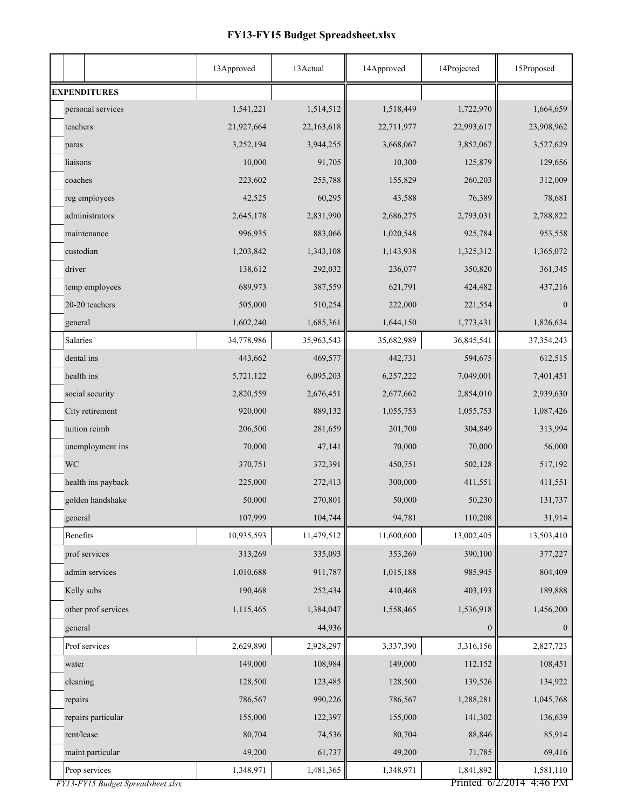## **FY13-FY15 Budget Spreadsheet.xlsx**

|                                                    | 13Approved | 13 Actual  | 14Approved | 14Projected                   | 15Proposed           |
|----------------------------------------------------|------------|------------|------------|-------------------------------|----------------------|
| <b>EXPENDITURES</b>                                |            |            |            |                               |                      |
| personal services                                  | 1,541,221  | 1,514,512  | 1,518,449  | 1,722,970                     | 1,664,659            |
| teachers                                           | 21,927,664 | 22,163,618 | 22,711,977 | 22,993,617                    | 23,908,962           |
| paras                                              | 3,252,194  | 3,944,255  | 3,668,067  | 3,852,067                     | 3,527,629            |
| liaisons                                           | 10,000     | 91,705     | 10,300     | 125,879                       | 129,656              |
| coaches                                            | 223,602    | 255,788    | 155,829    | 260,203                       | 312,009              |
| reg employees                                      | 42,525     | 60,295     | 43,588     | 76,389                        | 78,681               |
| administrators                                     | 2,645,178  | 2,831,990  | 2,686,275  | 2,793,031                     | 2,788,822            |
| maintenance                                        | 996,935    | 883,066    | 1,020,548  | 925,784                       | 953,558              |
| custodian                                          | 1,203,842  | 1,343,108  | 1,143,938  | 1,325,312                     | 1,365,072            |
| driver                                             | 138,612    | 292,032    | 236,077    | 350,820                       | 361,345              |
| temp employees                                     | 689,973    | 387,559    | 621,791    | 424,482                       | 437,216              |
| 20-20 teachers                                     | 505,000    | 510,254    | 222,000    | 221,554                       | $\mathbf{0}$         |
| general                                            | 1,602,240  | 1,685,361  | 1,644,150  | 1,773,431                     | 1,826,634            |
| Salaries                                           | 34,778,986 | 35,963,543 | 35,682,989 | 36,845,541                    | 37, 354, 243         |
| dental ins                                         | 443,662    | 469,577    | 442,731    | 594,675                       | 612,515              |
| health ins                                         | 5,721,122  | 6,095,203  | 6,257,222  | 7,049,001                     | 7,401,451            |
| social security                                    | 2,820,559  | 2,676,451  | 2,677,662  | 2,854,010                     | 2,939,630            |
| City retirement                                    | 920,000    | 889,132    | 1,055,753  | 1,055,753                     | 1,087,426            |
| tuition reimb                                      | 206,500    | 281,659    | 201,700    | 304,849                       | 313,994              |
| unemployment ins                                   | 70,000     | 47,141     | 70,000     | 70,000                        | 56,000               |
| <b>WC</b>                                          | 370,751    | 372,391    | 450,751    | 502,128                       | 517,192              |
| health ins payback                                 | 225,000    | 272,413    | 300,000    | 411,551                       | 411,551              |
| golden handshake                                   | 50,000     | 270,801    | 50,000     | 50,230                        | 131,737              |
| general                                            | 107,999    | 104,744    | 94,781     | 110,208                       | 31,914               |
| Benefits                                           | 10,935,593 | 11,479,512 | 11,600,600 | 13,002,405                    | 13,503,410           |
| prof services                                      | 313,269    | 335,093    | 353,269    | 390,100                       | 377,227              |
| admin services                                     | 1,010,688  | 911,787    | 1,015,188  | 985,945                       | 804,409              |
| Kelly subs                                         | 190,468    | 252,434    | 410,468    | 403,193                       | 189,888              |
| other prof services                                | 1,115,465  | 1,384,047  | 1,558,465  | 1,536,918                     | 1,456,200            |
| general                                            |            | 44,936     |            | $\boldsymbol{0}$              | $\mathbf{0}$         |
| Prof services                                      | 2,629,890  | 2,928,297  | 3,337,390  | 3,316,156                     | 2,827,723            |
| water                                              | 149,000    | 108,984    | 149,000    | 112,152                       | 108,451              |
| cleaning                                           | 128,500    | 123,485    | 128,500    | 139,526                       | 134,922              |
| repairs                                            | 786,567    | 990,226    | 786,567    | 1,288,281                     | 1,045,768            |
| repairs particular                                 | 155,000    | 122,397    | 155,000    | 141,302                       | 136,639              |
| rent/lease                                         | 80,704     | 74,536     | 80,704     | 88,846                        | 85,914               |
| maint particular                                   | 49,200     | 61,737     | 49,200     | 71,785                        | 69,416               |
| Prop services<br>FY13-FY15 Budget Spreadsheet.xlsx | 1,348,971  | 1,481,365  | 1,348,971  | 1,841,892<br>Printed 6/2/2014 | 1,581,110<br>4:46 PM |